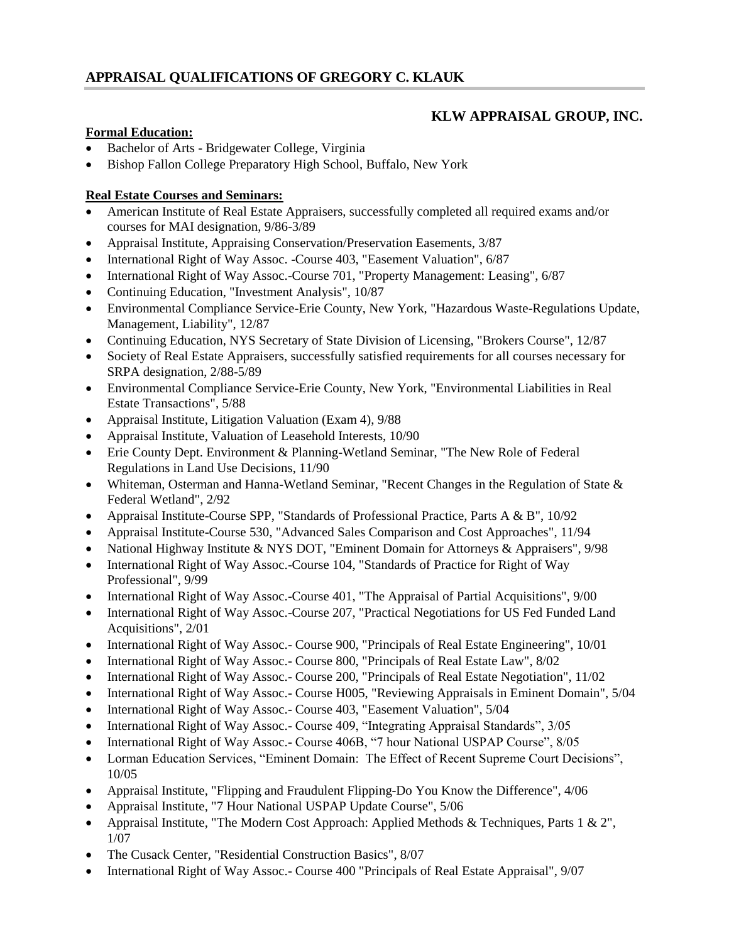# **KLW APPRAISAL GROUP, INC.**

### **Formal Education:**

- Bachelor of Arts Bridgewater College, Virginia
- Bishop Fallon College Preparatory High School, Buffalo, New York

### **Real Estate Courses and Seminars:**

- American Institute of Real Estate Appraisers, successfully completed all required exams and/or courses for MAI designation, 9/86-3/89
- Appraisal Institute, Appraising Conservation/Preservation Easements, 3/87
- International Right of Way Assoc. -Course 403, "Easement Valuation", 6/87
- International Right of Way Assoc.-Course 701, "Property Management: Leasing", 6/87
- Continuing Education, "Investment Analysis", 10/87
- Environmental Compliance Service-Erie County, New York, "Hazardous Waste-Regulations Update, Management, Liability", 12/87
- Continuing Education, NYS Secretary of State Division of Licensing, "Brokers Course", 12/87
- Society of Real Estate Appraisers, successfully satisfied requirements for all courses necessary for SRPA designation, 2/88-5/89
- Environmental Compliance Service-Erie County, New York, "Environmental Liabilities in Real Estate Transactions", 5/88
- Appraisal Institute, Litigation Valuation (Exam 4), 9/88
- Appraisal Institute, Valuation of Leasehold Interests, 10/90
- Erie County Dept. Environment & Planning-Wetland Seminar, "The New Role of Federal Regulations in Land Use Decisions, 11/90
- Whiteman, Osterman and Hanna-Wetland Seminar, "Recent Changes in the Regulation of State & Federal Wetland", 2/92
- Appraisal Institute-Course SPP, "Standards of Professional Practice, Parts A & B", 10/92
- Appraisal Institute-Course 530, "Advanced Sales Comparison and Cost Approaches", 11/94
- National Highway Institute & NYS DOT, "Eminent Domain for Attorneys & Appraisers", 9/98
- International Right of Way Assoc.-Course 104, "Standards of Practice for Right of Way Professional", 9/99
- International Right of Way Assoc.-Course 401, "The Appraisal of Partial Acquisitions", 9/00
- International Right of Way Assoc.-Course 207, "Practical Negotiations for US Fed Funded Land Acquisitions", 2/01
- International Right of Way Assoc.- Course 900, "Principals of Real Estate Engineering", 10/01
- International Right of Way Assoc.- Course 800, "Principals of Real Estate Law", 8/02
- International Right of Way Assoc.- Course 200, "Principals of Real Estate Negotiation", 11/02
- International Right of Way Assoc.- Course H005, "Reviewing Appraisals in Eminent Domain", 5/04
- International Right of Way Assoc.- Course 403, "Easement Valuation", 5/04
- International Right of Way Assoc.- Course 409, "Integrating Appraisal Standards", 3/05
- International Right of Way Assoc.- Course 406B, "7 hour National USPAP Course", 8/05
- Lorman Education Services, "Eminent Domain: The Effect of Recent Supreme Court Decisions", 10/05
- Appraisal Institute, "Flipping and Fraudulent Flipping-Do You Know the Difference", 4/06
- Appraisal Institute, "7 Hour National USPAP Update Course", 5/06
- Appraisal Institute, "The Modern Cost Approach: Applied Methods & Techniques, Parts 1 & 2", 1/07
- The Cusack Center, "Residential Construction Basics", 8/07
- International Right of Way Assoc.- Course 400 "Principals of Real Estate Appraisal", 9/07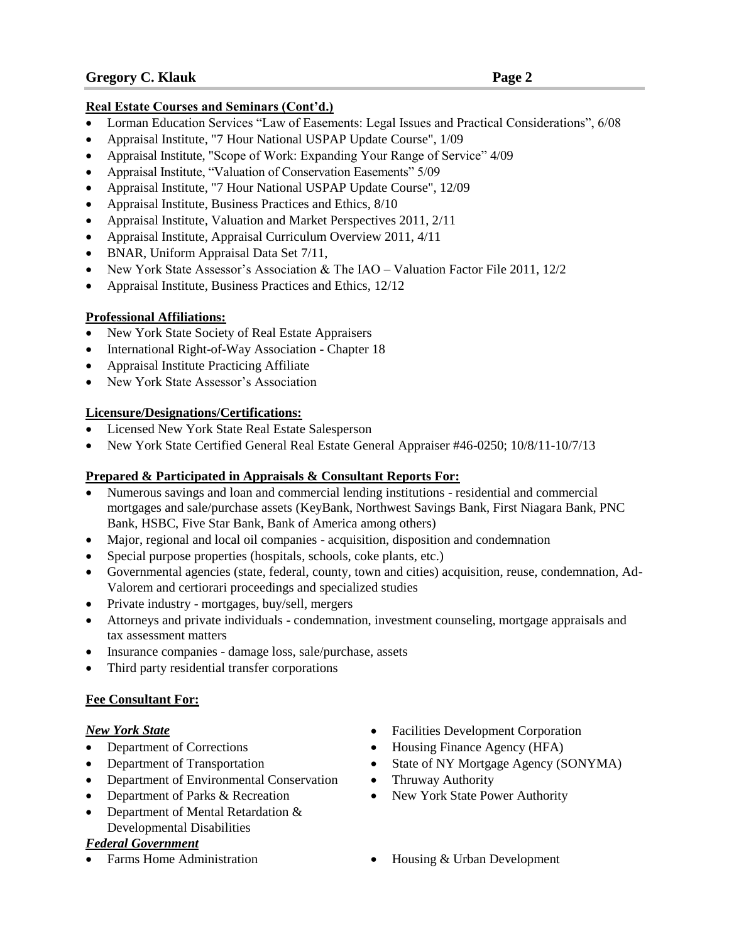## **Real Estate Courses and Seminars (Cont'd.)**

- Lorman Education Services "Law of Easements: Legal Issues and Practical Considerations", 6/08
- Appraisal Institute, "7 Hour National USPAP Update Course", 1/09
- Appraisal Institute, "Scope of Work: Expanding Your Range of Service" 4/09
- Appraisal Institute, "Valuation of Conservation Easements" 5/09
- Appraisal Institute, "7 Hour National USPAP Update Course", 12/09
- Appraisal Institute, Business Practices and Ethics, 8/10
- Appraisal Institute, Valuation and Market Perspectives 2011, 2/11
- Appraisal Institute, Appraisal Curriculum Overview 2011, 4/11
- BNAR, Uniform Appraisal Data Set 7/11,
- New York State Assessor's Association & The IAO Valuation Factor File 2011, 12/2
- Appraisal Institute, Business Practices and Ethics, 12/12

# **Professional Affiliations:**

- New York State Society of Real Estate Appraisers
- International Right-of-Way Association Chapter 18
- Appraisal Institute Practicing Affiliate
- New York State Assessor's Association

# **Licensure/Designations/Certifications:**

- Licensed New York State Real Estate Salesperson
- New York State Certified General Real Estate General Appraiser #46-0250; 10/8/11-10/7/13

# **Prepared & Participated in Appraisals & Consultant Reports For:**

- Numerous savings and loan and commercial lending institutions residential and commercial mortgages and sale/purchase assets (KeyBank, Northwest Savings Bank, First Niagara Bank, PNC Bank, HSBC, Five Star Bank, Bank of America among others)
- Major, regional and local oil companies acquisition, disposition and condemnation
- Special purpose properties (hospitals, schools, coke plants, etc.)
- Governmental agencies (state, federal, county, town and cities) acquisition, reuse, condemnation, Ad-Valorem and certiorari proceedings and specialized studies
- Private industry mortgages, buy/sell, mergers
- Attorneys and private individuals condemnation, investment counseling, mortgage appraisals and tax assessment matters
- Insurance companies damage loss, sale/purchase, assets
- Third party residential transfer corporations

## **Fee Consultant For:**

- 
- 
- Department of Environmental Conservation Thruway Authority
- Department of Parks & Recreation New York State Power Authority
- Department of Mental Retardation & Developmental Disabilities

## *Federal Government*

- *New York State* **Facilities Development Corporation**
- Department of Corrections Housing Finance Agency (HFA)
- Department of Transportation State of NY Mortgage Agency (SONYMA)
	-
	-
	- Farms Home Administration **•** Housing & Urban Development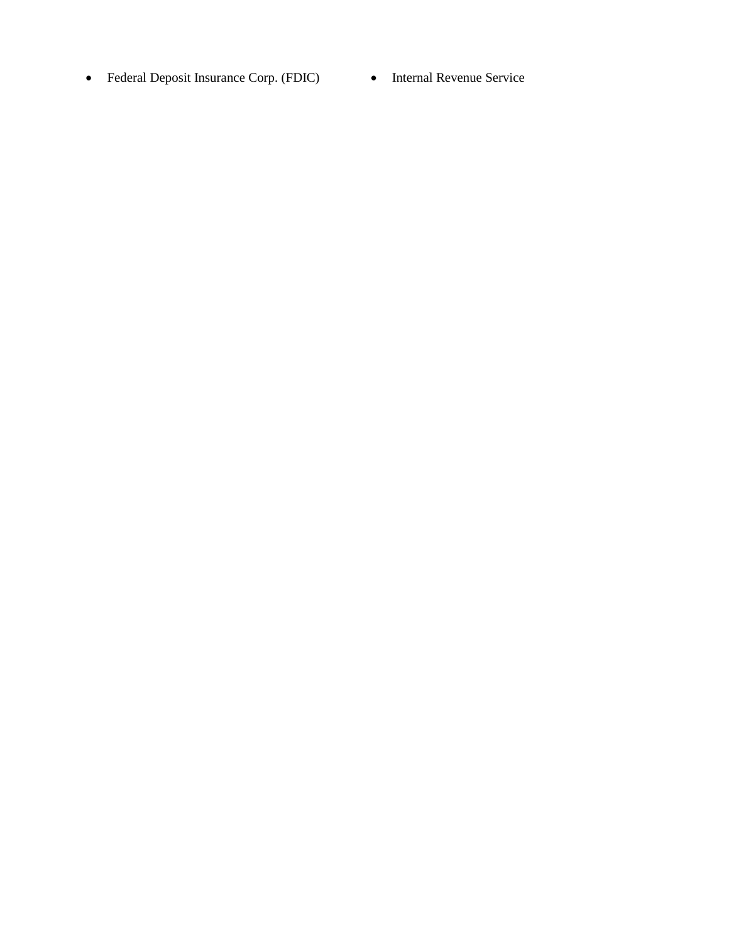- Federal Deposit Insurance Corp. (FDIC) Internal Revenue Service
	-